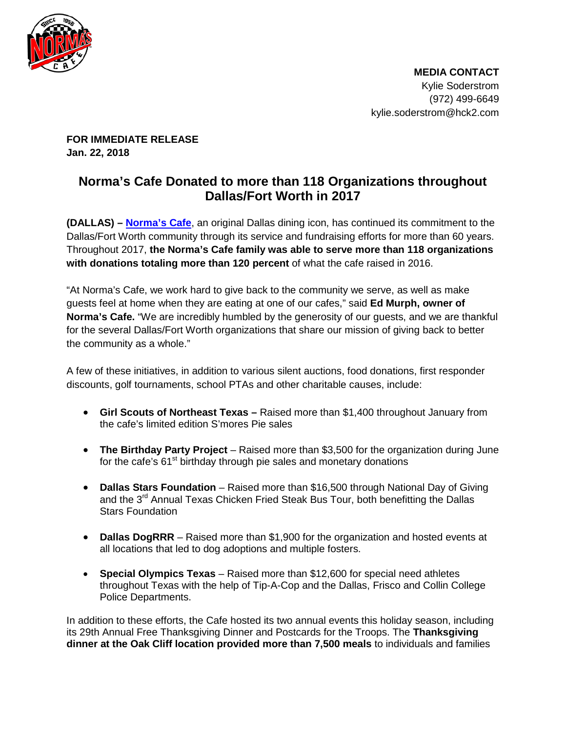

 **MEDIA CONTACT** Kylie Soderstrom (972) 499-6649 kylie.soderstrom@hck2.com

**FOR IMMEDIATE RELEASE Jan. 22, 2018**

## **Norma's Cafe Donated to more than 118 Organizations throughout Dallas/Fort Worth in 2017**

**(DALLAS) – [Norma's Cafe](http://www.normascafe.com/)**, an original Dallas dining icon, has continued its commitment to the Dallas/Fort Worth community through its service and fundraising efforts for more than 60 years. Throughout 2017, **the Norma's Cafe family was able to serve more than 118 organizations with donations totaling more than 120 percent** of what the cafe raised in 2016.

"At Norma's Cafe, we work hard to give back to the community we serve, as well as make guests feel at home when they are eating at one of our cafes," said **Ed Murph, owner of Norma's Cafe.** "We are incredibly humbled by the generosity of our guests, and we are thankful for the several Dallas/Fort Worth organizations that share our mission of giving back to better the community as a whole."

A few of these initiatives, in addition to various silent auctions, food donations, first responder discounts, golf tournaments, school PTAs and other charitable causes, include:

- **Girl Scouts of Northeast Texas –** Raised more than \$1,400 throughout January from the cafe's limited edition S'mores Pie sales
- **The Birthday Party Project** Raised more than \$3,500 for the organization during June for the cafe's  $61<sup>st</sup>$  birthday through pie sales and monetary donations
- **Dallas Stars Foundation**  Raised more than \$16,500 through National Day of Giving and the 3<sup>rd</sup> Annual Texas Chicken Fried Steak Bus Tour, both benefitting the Dallas Stars Foundation
- **Dallas DogRRR** Raised more than \$1,900 for the organization and hosted events at all locations that led to dog adoptions and multiple fosters.
- **Special Olympics Texas** Raised more than \$12,600 for special need athletes throughout Texas with the help of Tip-A-Cop and the Dallas, Frisco and Collin College Police Departments.

In addition to these efforts, the Cafe hosted its two annual events this holiday season, including its 29th Annual Free Thanksgiving Dinner and Postcards for the Troops. The **Thanksgiving dinner at the Oak Cliff location provided more than 7,500 meals** to individuals and families